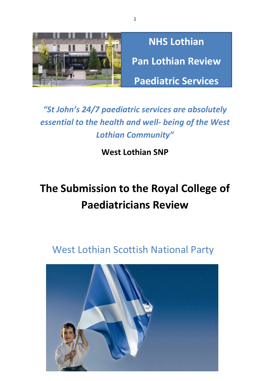

**NHS Lothian Pan Lothian Review Paediatric Services**

## *"St John's 24/7 paediatric services are absolutely essential to the health and well- being of the West Lothian Community"*

### **West Lothian SNP**

# **The Submission to the Royal College of Paediatricians Review**

# West Lothian Scottish National Party



1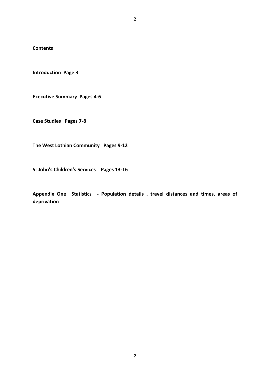**Contents**

**Introduction Page 3**

**Executive Summary Pages 4-6**

**Case Studies Pages 7-8**

**The West Lothian Community Pages 9-12**

**St John's Children's Services Pages 13-16**

**Appendix One Statistics - Population details , travel distances and times, areas of deprivation**

2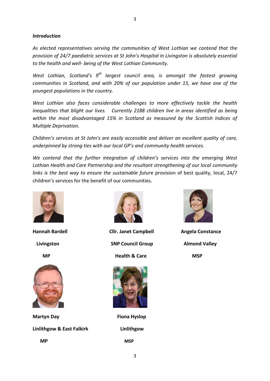#### *Introduction*

*As elected representatives serving the communities of West Lothian we contend that the provision of 24/7 paediatric services at St John's Hospital in Livingston is absolutely essential to the health and well- being of the West Lothian Community.*

*West Lothian, Scotland's 9th largest council area, is amongst the fastest growing communities in Scotland, and with 20% of our population under 15, we have one of the youngest populations in the country.*

*West Lothian also faces considerable challenges to more effectively tackle the health inequalities that blight our lives. Currently 2188 children live in areas identified as being within the most disadvantaged 15% in Scotland as measured by the Scottish Indices of Multiple Deprivation.*

*Children's services at St John's are easily accessible and deliver an excellent quality of care, underpinned by strong ties with our local GP's and community health services.*

*We contend that the further integration of children's services into the emerging West Lothian Health and Care Partnership and the resultant strengthening of our local community links is the best way to ensure the sustainable futur*e provision of best quality, local, 24/7 children's services for the benefit of our communities.





**Martyn Day Communist Communist Communist Communist Communist Communist Communist Communist Communist Communist Communist Communist Communist Communist Communist Communist Communist Communist Communist Communist Communist** 

**Linlithgow & East Falkirk Linlithgow**



Hannah Bardell **Cllr. Janet Campbell** Angela Constance **Livingston Council Group Almond Valley** 

**MP Health & Care MSP** 



 **MP MSP**

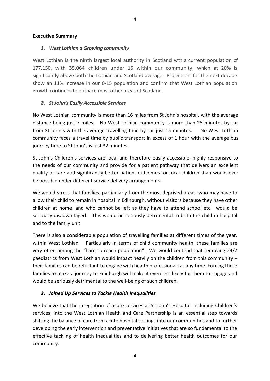#### **Executive Summary**

#### *1. West Lothian a Growing community*

West Lothian is the ninth largest local authority in Scotland with a current population of 177,150, with 35,064 children under 15 within our community, which at 20% is significantly above both the Lothian and Scotland average. Projections for the next decade show an 11% increase in our 0-15 population and confirm that West Lothian population growth continues to outpace most other areas of Scotland.

#### *2. St John's Easily Accessible Services*

No West Lothian community is more than 16 miles from St John's hospital, with the average distance being just 7 miles. No West Lothian community is more than 25 minutes by car from St John's with the average travelling time by car just 15 minutes. No West Lothian community faces a travel time by public transport in excess of 1 hour with the average bus journey time to St John's is just 32 minutes.

St John's Children's services are local and therefore easily accessible, highly responsive to the needs of our community and provide for a patient pathway that delivers an excellent quality of care and significantly better patient outcomes for local children than would ever be possible under different service delivery arrangements.

We would stress that families, particularly from the most deprived areas, who may have to allow their child to remain in hospital in Edinburgh, without visitors because they have other children at home, and who cannot be left as they have to attend school etc. would be seriously disadvantaged. This would be seriously detrimental to both the child in hospital and to the family unit.

There is also a considerable population of travelling families at different times of the year, within West Lothian. Particularly in terms of child community health, these families are very often among the "hard to reach population". We would contend that removing 24/7 paediatrics from West Lothian would impact heavily on the children from this community – their families can be reluctant to engage with health professionals at any time. Forcing these families to make a journey to Edinburgh will make it even less likely for them to engage and would be seriously detrimental to the well-being of such children.

#### *3. Joined Up Services to Tackle Health Inequalities*

We believe that the integration of acute services at St John's Hospital, including Children's services, into the West Lothian Health and Care Partnership is an essential step towards shifting the balance of care from acute hospital settings into our communities and to further developing the early intervention and preventative initiatives that are so fundamental to the effective tackling of health inequalities and to delivering better health outcomes for our community.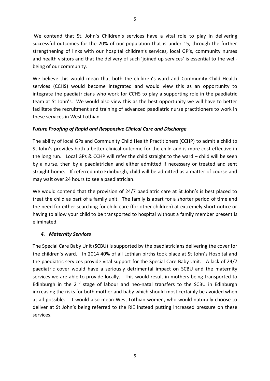We contend that St. John's Children's services have a vital role to play in delivering successful outcomes for the 20% of our population that is under 15, through the further strengthening of links with our hospital children's services, local GP's, community nurses and health visitors and that the delivery of such 'joined up services' is essential to the wellbeing of our community.

We believe this would mean that both the children's ward and Community Child Health services (CCHS) would become integrated and would view this as an opportunity to integrate the paediatricians who work for CCHS to play a supporting role in the paediatric team at St John's. We would also view this as the best opportunity we will have to better facilitate the recruitment and training of advanced paediatric nurse practitioners to work in these services in West Lothian

#### *Future Proofing of Rapid and Responsive Clinical Care and Discharge*

The ability of local GPs and Community Child Health Practitioners (CCHP) to admit a child to St John's provides both a better clinical outcome for the child and is more cost effective in the long run. Local GPs & CCHP will refer the child straight to the ward – child will be seen by a nurse, then by a paediatrician and either admitted if necessary or treated and sent straight home. If referred into Edinburgh, child will be admitted as a matter of course and may wait over 24 hours to see a paediatrician.

We would contend that the provision of 24/7 paediatric care at St John's is best placed to treat the child as part of a family unit. The family is apart for a shorter period of time and the need for either searching for child care (for other children) at extremely short notice or having to allow your child to be transported to hospital without a family member present is eliminated.

#### *4. Maternity Services*

The Special Care Baby Unit (SCBU) is supported by the paediatricians delivering the cover for the children's ward. In 2014 40% of all Lothian births took place at St John's Hospital and the paediatric services provide vital support for the Special Care Baby Unit. A lack of 24/7 paediatric cover would have a seriously detrimental impact on SCBU and the maternity services we are able to provide locally. This would result in mothers being transported to Edinburgh in the  $2^{nd}$  stage of labour and neo-natal transfers to the SCBU in Edinburgh increasing the risks for both mother and baby which should most certainly be avoided when at all possible. It would also mean West Lothian women, who would naturally choose to deliver at St John's being referred to the RIE instead putting increased pressure on these services.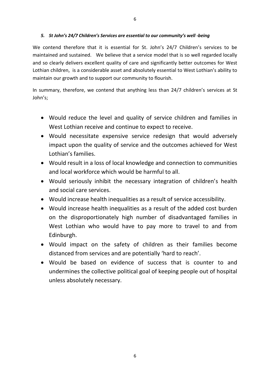We contend therefore that it is essential for St. John's 24/7 Children's services to be maintained and sustained. We believe that a service model that is so well regarded locally and so clearly delivers excellent quality of care and significantly better outcomes for West Lothian children, is a considerable asset and absolutely essential to West Lothian's ability to maintain our growth and to support our community to flourish.

In summary, therefore, we contend that anything less than 24/7 children's services at St John's;

- Would reduce the level and quality of service children and families in West Lothian receive and continue to expect to receive.
- Would necessitate expensive service redesign that would adversely impact upon the quality of service and the outcomes achieved for West Lothian's families.
- Would result in a loss of local knowledge and connection to communities and local workforce which would be harmful to all.
- Would seriously inhibit the necessary integration of children's health and social care services.
- Would increase health inequalities as a result of service accessibility.
- Would increase health inequalities as a result of the added cost burden on the disproportionately high number of disadvantaged families in West Lothian who would have to pay more to travel to and from Edinburgh.
- Would impact on the safety of children as their families become distanced from services and are potentially 'hard to reach'.
- Would be based on evidence of success that is counter to and undermines the collective political goal of keeping people out of hospital unless absolutely necessary.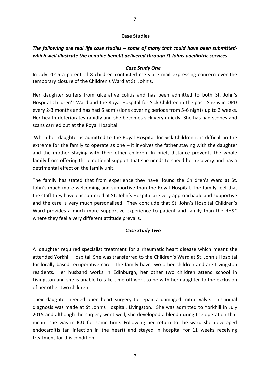#### **Case Studies**

#### *The following are real life case studies – some of many that could have been submittedwhich well illustrate the genuine benefit delivered through St Johns paediatric services*.

#### *Case Study One*

In July 2015 a parent of 8 children contacted me via e mail expressing concern over the temporary closure of the Children's Ward at St. John's.

Her daughter suffers from ulcerative colitis and has been admitted to both St. John's Hospital Children's Ward and the Royal Hospital for Sick Children in the past. She is in OPD every 2-3 months and has had 6 admissions covering periods from 5-6 nights up to 3 weeks. Her health deteriorates rapidly and she becomes sick very quickly. She has had scopes and scans carried out at the Royal Hospital.

When her daughter is admitted to the Royal Hospital for Sick Children it is difficult in the extreme for the family to operate as one  $-$  it involves the father staying with the daughter and the mother staying with their other children. In brief, distance prevents the whole family from offering the emotional support that she needs to speed her recovery and has a detrimental effect on the family unit.

The family has stated that from experience they have found the Children's Ward at St. John's much more welcoming and supportive than the Royal Hospital. The family feel that the staff they have encountered at St. John's Hospital are very approachable and supportive and the care is very much personalised. They conclude that St. John's Hospital Children's Ward provides a much more supportive experience to patient and family than the RHSC where they feel a very different attitude prevails.

#### *Case Study Two*

A daughter required specialist treatment for a rheumatic heart disease which meant she attended Yorkhill Hospital. She was transferred to the Children's Ward at St. John's Hospital for locally based recuperative care. The family have two other children and are Livingston residents. Her husband works in Edinburgh, her other two children attend school in Livingston and she is unable to take time off work to be with her daughter to the exclusion of her other two children.

Their daughter needed open heart surgery to repair a damaged mitral valve. This initial diagnosis was made at St John's Hospital, Livingston. She was admitted to Yorkhill in July 2015 and although the surgery went well, she developed a bleed during the operation that meant she was in ICU for some time. Following her return to the ward she developed endocarditis (an infection in the heart) and stayed in hospital for 11 weeks receiving treatment for this condition.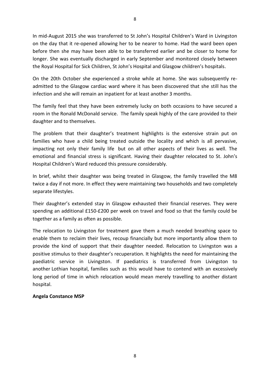In mid-August 2015 she was transferred to St John's Hospital Children's Ward in Livingston on the day that it re-opened allowing her to be nearer to home. Had the ward been open before then she may have been able to be transferred earlier and be closer to home for longer. She was eventually discharged in early September and monitored closely between the Royal Hospital for Sick Children, St John's Hospital and Glasgow children's hospitals.

On the 20th October she experienced a stroke while at home. She was subsequently readmitted to the Glasgow cardiac ward where it has been discovered that she still has the infection and she will remain an inpatient for at least another 3 months.

The family feel that they have been extremely lucky on both occasions to have secured a room in the Ronald McDonald service. The family speak highly of the care provided to their daughter and to themselves.

The problem that their daughter's treatment highlights is the extensive strain put on families who have a child being treated outside the locality and which is all pervasive, impacting not only their family life but on all other aspects of their lives as well. The emotional and financial stress is significant. Having their daughter relocated to St. John's Hospital Children's Ward reduced this pressure considerably.

In brief, whilst their daughter was being treated in Glasgow, the family travelled the M8 twice a day if not more. In effect they were maintaining two households and two completely separate lifestyles.

Their daughter's extended stay in Glasgow exhausted their financial reserves. They were spending an additional £150-£200 per week on travel and food so that the family could be together as a family as often as possible.

The relocation to Livingston for treatment gave them a much needed breathing space to enable them to reclaim their lives, recoup financially but more importantly allow them to provide the kind of support that their daughter needed. Relocation to Livingston was a positive stimulus to their daughter's recuperation. It highlights the need for maintaining the paediatric service in Livingston. If paediatrics is transferred from Livingston to another Lothian hospital, families such as this would have to contend with an excessively long period of time in which relocation would mean merely travelling to another distant hospital.

#### **Angela Constance MSP**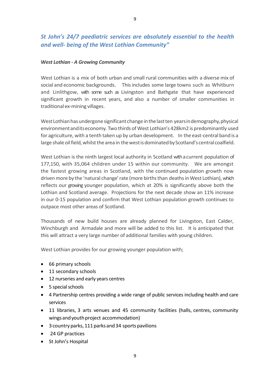#### *St John's 24/7 paediatric services are absolutely essential to the health and well- being of the West Lothian Community"*

#### *West Lothian - A Growing Community*

West Lothian is a mix of both urban and small rural communities with a diverse mix of social and economic backgrounds. Thisincludes some large towns such as Whitburn and Linlithgow, with some such as Livingston and Bathgate that have experienced significant growth in recent years, and also a number of smaller communities in traditional ex-mining villages.

West Lothian has undergone significant change in the last ten years in demography, physical environment and its economy. Two thirds of West Lothian's 428km2 is predominantly used for agriculture, with a tenth taken up by urban development. In the east-central band is a large shale oil field, whilst the area in the west is dominated by Scotland's central coalfield.

West Lothian is the ninth largest local authority in Scotland with a current population of 177,150, with 35,064 children under 15 within our community. We are amongst the fastest growing areas in Scotland, with the continued population growth now driven more by the 'natural change' rate (more births than deaths in West Lothian), which reflects our growing younger population, which at 20% is significantly above both the Lothian and Scotland average. Projections for the next decade show an 11% increase in our 0-15 population and confirm that West Lothian population growth continues to outpace most other areas of Scotland.

Thousands of new build houses are already planned for Livingston, East Calder, Winchburgh and Armadale and more will be added to this list. It is anticipated that this will attract a very large number of additional families with young children.

West Lothian provides for our growing younger population with;

- 66 primary schools
- 11 secondary schools
- 12 nurseries and early years centres
- $\bullet$  5 special schools
- 4 Partnership centres providing a wide range of public services including health and care services
- 11 libraries, 3 arts venues and 45 community facilities (halls, centres, community wings and youth project accommodation)
- 3 country parks, 111 parks and 34 sports pavilions
- 24 GP practices
- St John's Hospital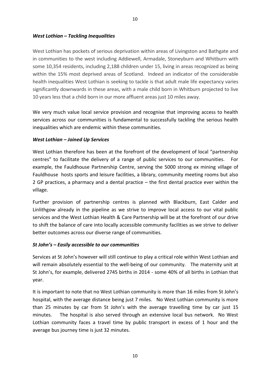West Lothian has pockets of serious deprivation within areas of Livingston and Bathgate and in communities to the west including Addiewell, Armadale, Stoneyburn and Whitburn with some 10,354 residents, including 2,188 children under 15, living in areas recognized as being within the 15% most deprived areas of Scotland. Indeed an indicator of the considerable health inequalities West Lothian is seeking to tackle is that adult male life expectancy varies significantly downwards in these areas, with a male child born in Whitburn projected to live 10 years less that a child born in our more affluent areas just 10 miles away.

We very much value local service provision and recognise that improving access to health services across our communities is fundamental to successfully tackling the serious health inequalities which are endemic within these communities.

#### *West Lothian – Joined Up Services*

West Lothian therefore has been at the forefront of the development of local "partnership centres" to facilitate the delivery of a range of public services to our communities. For example, the Fauldhouse Partnership Centre, serving the 5000 strong ex mining village of Fauldhouse hosts sports and leisure facilities, a library, community meeting rooms but also 2 GP practices, a pharmacy and a dental practice – the first dental practice ever within the village.

Further provision of partnership centres is planned with Blackburn, East Calder and Linlithgow already in the pipeline as we strive to improve local access to our vital public services and the West Lothian Health & Care Partnership will be at the forefront of our drive to shift the balance of care into locally accessible community facilities as we strive to deliver better outcomes across our diverse range of communities.

#### *St John's – Easily accessible to our communities*

Services at St John's however will still continue to play a critical role within West Lothian and will remain absolutely essential to the well-being of our community. The maternity unit at St John's, for example, delivered 2745 births in 2014 - some 40% of all births in Lothian that year.

It is important to note that no West Lothian community is more than 16 miles from St John's hospital, with the average distance being just 7 miles. No West Lothian community is more than 25 minutes by car from St John's with the average travelling time by car just 15 minutes. The hospital is also served through an extensive local bus network. No West Lothian community faces a travel time by public transport in excess of 1 hour and the average bus journey time is just 32 minutes.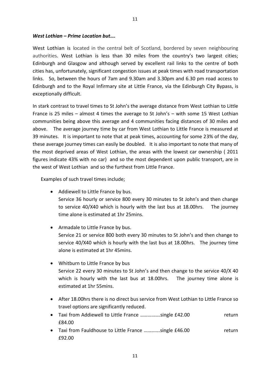#### *West Lothian – Prime Location but….*

West Lothian is located in the central belt of Scotland, bordered by seven neighbouring authorities. West Lothian is less than 30 miles from the country's two largest cities; Edinburgh and Glasgow and although served by excellent rail links to the centre of both cities has, unfortunately, significant congestion issues at peak times with road transportation links. So, between the hours of 7am and 9.30am and 3.30pm and 6.30 pm road access to Edinburgh and to the Royal Infirmary site at Little France, via the Edinburgh City Bypass, is exceptionally difficult.

11

In stark contrast to travel times to St John's the average distance from West Lothian to Little France is 25 miles – almost 4 times the average to St John's – with some 15 West Lothian communities being above this average and 4 communities facing distances of 30 miles and above. The average journey time by car from West Lothian to Little France is measured at 39 minutes. It is important to note that at peak times, accounting for some 23% of the day, these average journey times can easily be doubled. It is also important to note that many of the most deprived areas of West Lothian, the areas with the lowest car ownership ( 2011 figures indicate 43% with no car) and so the most dependent upon public transport, are in the west of West Lothian and so the furthest from Little France.

Examples of such travel times include;

- Addiewell to Little France by bus.
	- Service 36 hourly or service 800 every 30 minutes to St John's and then change to service 40/X40 which is hourly with the last bus at 18.00hrs. The journey time alone is estimated at 1hr 25mins.
- Armadale to Little France by bus. Service 21 or service 800 both every 30 minutes to St John's and then change to service 40/X40 which is hourly with the last bus at 18.00hrs. The journey time alone is estimated at 1hr 45mins.
- Whitburn to Little France by bus Service 22 every 30 minutes to St John's and then change to the service 40/X 40 which is hourly with the last bus at 18.00hrs. The journey time alone is estimated at 1hr 55mins.
- After 18.00hrs there is no direct bus service from West Lothian to Little France so travel options are significantly reduced.
- Taxi from Addiewell to Little France ................single £42.00 return £84.00
- Taxi from Fauldhouse to Little France .............single £46.00 return £92.00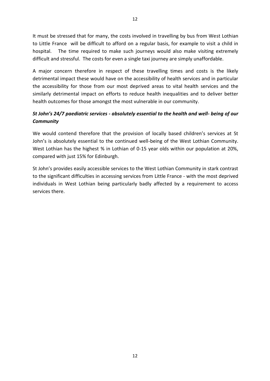It must be stressed that for many, the costs involved in travelling by bus from West Lothian to Little France will be difficult to afford on a regular basis, for example to visit a child in hospital. The time required to make such journeys would also make visiting extremely difficult and stressful. The costs for even a single taxi journey are simply unaffordable.

A major concern therefore in respect of these travelling times and costs is the likely detrimental impact these would have on the accessibility of health services and in particular the accessibility for those from our most deprived areas to vital health services and the similarly detrimental impact on efforts to reduce health inequalities and to deliver better health outcomes for those amongst the most vulnerable in our community.

#### *St John's 24/7 paediatric services - absolutely essential to the health and well- being of our Community*

We would contend therefore that the provision of locally based children's services at St John's is absolutely essential to the continued well-being of the West Lothian Community. West Lothian has the highest % in Lothian of 0-15 year olds within our population at 20%, compared with just 15% for Edinburgh.

St John's provides easily accessible services to the West Lothian Community in stark contrast to the significant difficulties in accessing services from Little France - with the most deprived individuals in West Lothian being particularly badly affected by a requirement to access services there.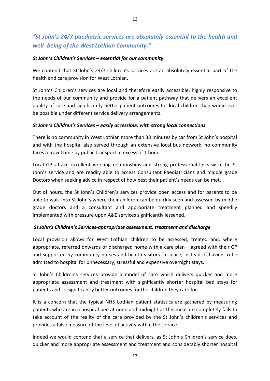#### *"St John's 24/7 paediatric services are absolutely essential to the health and well- being of the West Lothian Community."*

#### *St John's Children's Services – essential for our community*

We contend that St John's 24/7 children's services are an absolutely essential part of the health and care provision for West Lothian.

St John's Children's services are local and therefore easily accessible, highly responsive to the needs of our community and provide for a patient pathway that delivers an excellent quality of care and significantly better patient outcomes for local children than would ever be possible under different service delivery arrangements.

#### *St John's Children's Services – easily accessible, with strong local connections*

There is no community in West Lothian more than 30 minutes by car from St John's hospital and with the hospital also served through an extensive local bus network, no community faces a travel time by public transport in excess of 1 hour.

Local GP's have excellent working relationships and strong professional links with the St John's service and are readily able to access Consultant Paediatricians and middle grade Doctors when seeking advice in respect of how best their patient's needs can be met.

Out of hours, the St John's Children's services provide open access and for parents to be able to walk into St John's where their children can be quickly seen and assessed by middle grade doctors and a consultant and appropriate treatment planned and speedily implemented with pressure upon A&E services significantly lessened.

#### *St John's Children's Services-appropriate assessment, treatment and discharge*

Local provision allows for West Lothian children to be assessed, treated and, where appropriate, referred onwards or discharged home with a care plan – agreed with their GP and supported by community nurses and health visitors- in place, instead of having to be admitted to hospital for unnecessary, stressful and expensive overnight stays.

St John's Children's services provide a model of care which delivers quicker and more appropriate assessment and treatment with significantly shorter hospital bed stays for patients and so significantly better outcomes for the children they care for.

It is a concern that the typical NHS Lothian patient statistics are gathered by measuring patients who are in a hospital bed at noon and midnight as this measure completely fails to take account of the reality of the care provided by the St John's children's services and provides a false measure of the level of activity within the service.

Indeed we would contend that a service that delivers, as St John's Children's service does, quicker and more appropriate assessment and treatment and considerably shorter hospital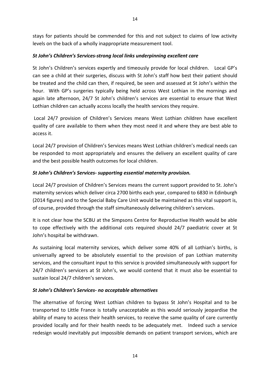stays for patients should be commended for this and not subject to claims of low activity levels on the back of a wholly inappropriate measurement tool.

#### *St John's Children's Services-strong local links underpinning excellent care*

St John's Children's services expertly and timeously provide for local children. Local GP's can see a child at their surgeries, discuss with St John's staff how best their patient should be treated and the child can then, if required, be seen and assessed at St John's within the hour. With GP's surgeries typically being held across West Lothian in the mornings and again late afternoon, 24/7 St John's children's services are essential to ensure that West Lothian children can actually access locally the health services they require.

Local 24/7 provision of Children's Services means West Lothian children have excellent quality of care available to them when they most need it and where they are best able to access it.

Local 24/7 provision of Children's Services means West Lothian children's medical needs can be responded to most appropriately and ensures the delivery an excellent quality of care and the best possible health outcomes for local children.

#### *St John's Children's Services- supporting essential maternity provision.*

Local 24/7 provision of Children's Services means the current support provided to St. John's maternity services which deliver circa 2700 births each year, compared to 6830 in Edinburgh (2014 figures) and to the Special Baby Care Unit would be maintained as this vital support is, of course, provided through the staff simultaneously delivering children's services.

It is not clear how the SCBU at the Simpsons Centre for Reproductive Health would be able to cope effectively with the additional cots required should 24/7 paediatric cover at St John's hospital be withdrawn.

As sustaining local maternity services, which deliver some 40% of all Lothian's births, is universally agreed to be absolutely essential to the provision of pan Lothian maternity services, and the consultant input to this service is provided simultaneously with support for 24/7 children's servicers at St John's, we would contend that it must also be essential to sustain local 24/7 children's services.

#### *St John's Children's Services- no acceptable alternatives*

The alternative of forcing West Lothian children to bypass St John's Hospital and to be transported to Little France is totally unacceptable as this would seriously jeopardise the ability of many to access their health services, to receive the same quality of care currently provided locally and for their health needs to be adequately met. Indeed such a service redesign would inevitably put impossible demands on patient transport services, which are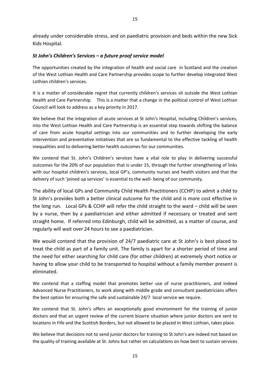already under considerable stress, and on paediatric provision and beds within the new Sick Kids Hospital.

#### *St John's Children's Services – a future proof service model*

The opportunities created by the integration of health and social care in Scotland and the creation of the West Lothian Health and Care Partnership provides scope to further develop integrated West Lothian children's services.

It is a matter of considerable regret that currently children's services sit outside the West Lothian Health and Care Partnership. This is a matter that a change in the political control of West Lothian Council will look to address as a key priority in 2017.

We believe that the integration of acute services at St John's Hospital, including Children's services, into the West Lothian Health and Care Partnership is an essential step towards shifting the balance of care from acute hospital settings into our communities and to further developing the early intervention and preventative initiatives that are so fundamental to the effective tackling of health inequalities and to delivering better health outcomes for our communities.

We contend that St. John's Children's services have a vital role to play in delivering successful outcomes for the 20% of our population that is under 15, through the further strengthening of links with our hospital children's services, local GP's, community nurses and health visitors and that the delivery of such 'joined up services' is essential to the well- being of our community.

The ability of local GPs and Community Child Health Practitioners (CCHP) to admit a child to St John's provides both a better clinical outcome for the child and is more cost effective in the long run. Local GPs & CCHP will refer the child straight to the ward – child will be seen by a nurse, then by a paediatrician and either admitted if necessary or treated and sent straight home. If referred into Edinburgh, child will be admitted, as a matter of course, and regularly will wait over 24 hours to see a paediatrician.

We would contend that the provision of 24/7 paediatric care at St John's is best placed to treat the child as part of a family unit. The family is apart for a shorter period of time and the need for either searching for child care (for other children) at extremely short notice or having to allow your child to be transported to hospital without a family member present is eliminated.

We contend that a staffing model that promotes better use of nurse practitioners, and indeed Advanced Nurse Practitioners, to work along with middle grade and consultant paediatricians offers the best option for ensuring the safe and sustainable 24/7 local service we require.

We contend that St. John's offers an exceptionally good environment for the training of junior doctors and that an urgent review of the current bizarre situation where junior doctors are sent to locations in Fife and the Scottish Borders, but not allowed to be placed in West Lothian, takes place.

We believe that decisions not to send junior doctors for training to St John's are indeed not based on the quality of training available at St. Johns but rather on calculations on how best to sustain services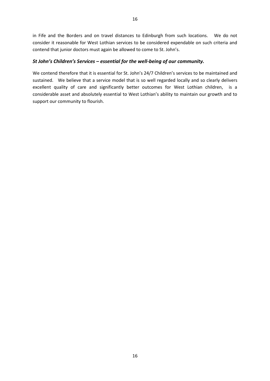in Fife and the Borders and on travel distances to Edinburgh from such locations. We do not consider it reasonable for West Lothian services to be considered expendable on such criteria and contend that junior doctors must again be allowed to come to St. John's.

#### *St John's Children's Services – essential for the well-being of our community.*

We contend therefore that it is essential for St. John's 24/7 Children's services to be maintained and sustained. We believe that a service model that is so well regarded locally and so clearly delivers excellent quality of care and significantly better outcomes for West Lothian children, is a considerable asset and absolutely essential to West Lothian's ability to maintain our growth and to support our community to flourish.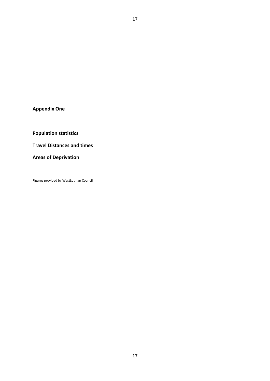**Appendix One**

**Population statistics**

**Travel Distances and times**

**Areas of Deprivation**

Figures provided by WestLothian Council

17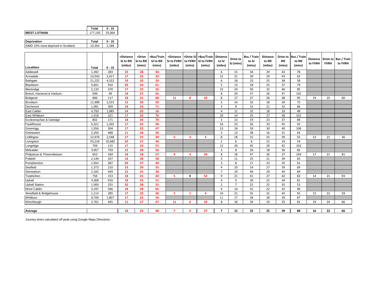|                                    | Total   | $0 - 15$ |
|------------------------------------|---------|----------|
| <b>WEST LOTHIAN</b>                | 177.150 | 35,064   |
|                                    |         |          |
| <b>Deprivation</b>                 | Total   | $0 - 15$ |
| SIMD 15% most deprived in Scotland | 10.354  | 2,188    |

|                            |              |          | +Distance<br>SJ to RIE<br>(miles) | +Drive<br>SJ to RIE<br>(mins) | +Bus/Train<br>SJ to RIE<br>(mins) | +Distance<br>SJ to FVRH<br>(miles) | (mins)                  | +Drive SJ +Bus/Train<br>to FVRH   SJ to FVRH<br>(mins) | <b>Distance</b><br>to SJ<br>(miles) | Drive to<br>SJ (mins) | <b>Bus / Train</b><br>to SJ<br>(mins) | Distance<br>to RIE<br>(miles) | <b>RIE</b><br>(mins) | Drive to Bus / Train<br>to RIE<br>(mins) | to FVRH | <b>FVRH</b> | Distance Drive to Bus / Train<br>to FVRH |
|----------------------------|--------------|----------|-----------------------------------|-------------------------------|-----------------------------------|------------------------------------|-------------------------|--------------------------------------------------------|-------------------------------------|-----------------------|---------------------------------------|-------------------------------|----------------------|------------------------------------------|---------|-------------|------------------------------------------|
| <b>Localities</b>          | <b>Total</b> | $0 - 15$ |                                   |                               |                                   |                                    |                         |                                                        |                                     |                       |                                       |                               |                      |                                          |         |             |                                          |
| Addiewell                  | 1,492        | 283      | 23                                | 28                            | 44                                |                                    |                         |                                                        | 6                                   | 15                    | 34                                    | 29                            | 43                   | 78                                       |         |             |                                          |
| Armadale                   | 13,043       | 2,417    | 17                                | 22                            | 33                                |                                    |                         |                                                        | 12                                  | 21                    | 30                                    | 29                            | 43                   | 63                                       |         |             |                                          |
| Bathqate                   | 21,222       | 4,322    | 19                                | 20                            | 33                                |                                    |                         |                                                        | 6                                   | 18                    | 25                                    | 25                            | 38                   | 58                                       |         |             |                                          |
| Blackburn                  | 5,601        | 910      | 20                                | 24                            | 61                                |                                    |                         |                                                        | 5                                   | 13                    | 18                                    | 25                            | 37                   | 79                                       |         |             |                                          |
| Blackridge                 | 2,133        | 370      | 17                                | 22                            | 35                                |                                    |                         |                                                        | 15                                  | 24                    | 50                                    | 32                            | 46                   | 85                                       |         |             |                                          |
| Breich, Harwood & Harburn  | 599          | 99       | 18                                | 27                            | 65                                |                                    |                         |                                                        | 8                                   | 20                    | 37                                    | 26                            | 47                   | 102                                      |         |             |                                          |
| <b>Bridgend</b>            | 896          | 117      | 18                                | 21                            | 68                                | 11                                 | 8                       | 33                                                     | 8                                   | 17                    | 27                                    | 26                            | 38                   | 95                                       | 19      | 25          | 60                                       |
| Broxburn                   | 11,998       | 2,553    | 13                                | 20                            | 42                                |                                    |                         |                                                        | 5                                   | 14                    | 33                                    | 18                            | 34                   | 75                                       |         |             |                                          |
| Dechmont                   | 1.081        | 309      | 18                                | 24                            | 71                                |                                    |                         |                                                        | $\overline{3}$                      | 8                     | 15                                    | 21                            | 32                   | 86                                       |         |             |                                          |
| East Calder                | 4.793        | 1,085    | 14                                | 22                            | 16                                |                                    |                         |                                                        | 4                                   | 11                    | 32                                    | 18                            | 33                   | 48                                       |         |             |                                          |
| East Whitburn              | 1,418        | 321      | 17                                | 22                            | 76                                |                                    |                         |                                                        | 10                                  | 14                    | 25                                    | 27                            | 36                   | 101                                      |         |             |                                          |
| Ecclesmachan & Oatridge    | 802          | 171      | 18                                | 24                            | 70                                |                                    |                         |                                                        | 5                                   | 13                    | 19                                    | 23                            | 37                   | 89                                       |         |             |                                          |
| Fauldhouse                 | 5,321        | 1,202    | 17                                | 22                            | 36                                |                                    |                         |                                                        | 16                                  | 23                    | 56                                    | 33                            | 45                   | 92                                       |         |             |                                          |
| Greenrigg                  | 1,556        | 304      | 17                                | 22                            | 47                                |                                    |                         |                                                        | 13                                  | 18                    | 59                                    | 30                            | 40                   | 106                                      |         |             |                                          |
| Kirknewton                 | 2,259        | 488      | 11                                | 18                            | 26                                |                                    |                         |                                                        | 5                                   | 13                    | 38                                    | 16                            | 31                   | 64                                       |         |             |                                          |
| Linlithgow                 | 12,976       | 2,548    | 17                                | 21                            | 24                                | 5.                                 | 3                       | 5                                                      | 8                                   | 18                    | 31                                    | 25                            | 39                   | 55                                       | 13      | 21          | 36                                       |
| Livingston                 | 53,218       | 10,682   | 20                                | 27                            | 46                                |                                    |                         |                                                        | $\overline{2}$                      | 6                     | 8                                     | 22                            | 33                   | 54                                       |         |             |                                          |
| Longridge                  | 709          | 115      | 17                                | 22                            | 57                                |                                    |                         |                                                        | 12                                  | 20                    | 45                                    | 29                            | 42                   | 102                                      |         |             |                                          |
| Midcalder                  | 3,957        | 759      | 15                                | 28                            | 56                                |                                    |                         |                                                        | 3                                   | 8                     | 26                                    | 18                            | 36                   | 82                                       |         |             |                                          |
| Philpstoun & Threemiletown | 653          | 184      | 18                                | 19                            | 57                                | 9                                  | $\overline{\mathbf{3}}$ | 34                                                     | 8                                   | 18                    | 47                                    | 26                            | 37                   | 104                                      | 17      | 21          | 81                                       |
| Polbeth                    | 2,149        | 337      | 18                                | 28                            | 58                                |                                    |                         |                                                        | 3                                   | 11                    | 25                                    | 21                            | 39                   | 83                                       |         |             |                                          |
| Pumpherston                | 1,554        | 287      | 20                                | 27                            | 44                                |                                    |                         |                                                        | 3                                   | 8                     | 17                                    | 23                            | 35                   | 61                                       |         |             |                                          |
| Seafield                   | 1,373        | 210      | 23                                | 29                            | 55                                |                                    |                         |                                                        | 4                                   | 10                    | 14                                    | 27                            | 39                   | 69                                       |         |             |                                          |
| Stoneyburn                 | 2,182        | 449      | 22                                | 25                            | 38                                |                                    |                         |                                                        | $\overline{7}$                      | 19                    | 46                                    | 29                            | 44                   | 84                                       |         |             |                                          |
| Torphichen                 | 756          | 153      | 18                                | 21                            | 42                                | 5.                                 | $\mathbf{0}$            | 52                                                     | 9                                   | 21                    | 41                                    | 27                            | 42                   | 83                                       | 14      | 21          | 93                                       |
| Uphall                     | 4,368        | 916      | 18                                | 25                            | 51                                |                                    |                         |                                                        | 4                                   | 9                     | 30                                    | 22                            | 34                   | 81                                       |         |             |                                          |
| <b>Uphall Station</b>      | 1,569        | 255      | 20                                | 28                            | 31                                |                                    |                         |                                                        | $\overline{2}$                      | $\overline{7}$        | 22                                    | 22                            | 35                   | 53                                       |         |             |                                          |
| <b>West Calder</b>         | 3.197        | 566      | 18                                | 28                            | 65                                |                                    |                         |                                                        | 4                                   | 14                    | 31                                    | 22                            | 42                   | 96                                       |         |             |                                          |
| Westfield & Bridgehouse    | 1,114        | 285      | 17                                | 22                            | 36                                | $\mathbf{1}$                       | -1                      | $\Delta$                                               | 14                                  | 21                    | 55                                    | 31                            | 43                   | 91                                       | 15      | 22          | 59                                       |
| Whitburn                   | 9,708        | 1,807    | 17                                | 22                            | 59                                |                                    |                         |                                                        | 11                                  | 17                    | 28                                    | 28                            | 39                   | 87                                       |         |             |                                          |
| Winchburgh                 | 2,761        | 445      | 11                                | 17                            | 47                                | 11                                 | -6                      | 32                                                     | 8                                   | 18                    | 34                                    | 19                            | 35                   | 81                                       | 19      | 24          | 66                                       |
|                            |              |          |                                   |                               |                                   |                                    |                         |                                                        |                                     |                       |                                       |                               |                      |                                          |         |             |                                          |
| Average                    |              |          | 18                                | 23                            | 48                                | $\overline{7}$                     |                         | 27                                                     | $\overline{7}$                      | 15                    | 32                                    | 25                            | 39                   | 80                                       | 16      | 22          | 66                                       |

Journey times calculated off peak using Google Maps Directions.